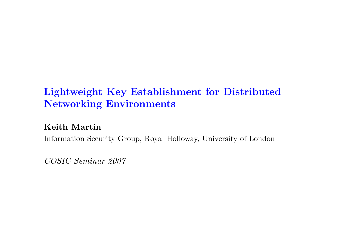# Lightweight Key Establishment for Distributed Networking Environments

Keith Martin

Information Security Group, Royal Holloway, University of London

COSIC Seminar 2007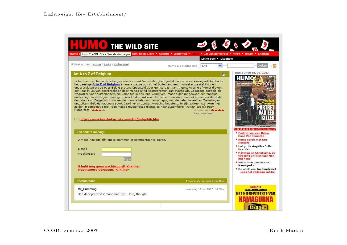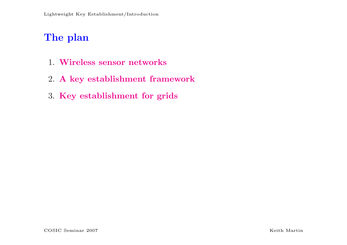# The plan

- 1. Wireless sensor networks
- 2. A key establishment framework
- 3. Key establishment for grids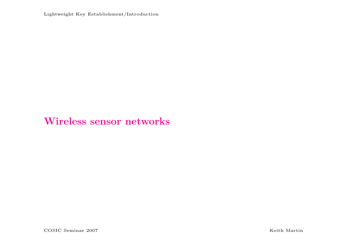Lightweight Key Establishment/Introduction

### Wireless sensor networks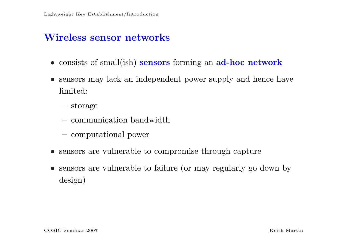### Wireless sensor networks

- consists of small(ish) sensors forming an ad-hoc network
- sensors may lack an independent power supply and hence have limited:
	- storage
	- communication bandwidth
	- computational power
- sensors are vulnerable to compromise through capture
- sensors are vulnerable to failure (or may regularly go down by design)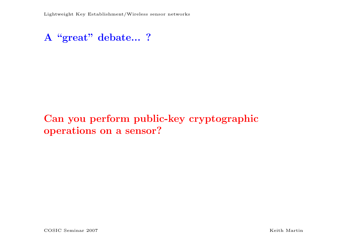### A "great" debate... ?

# Can you perform public-key cryptographic operations on a sensor?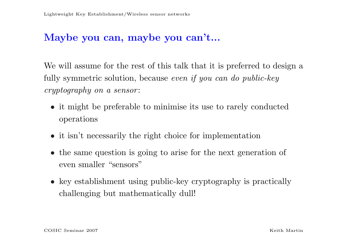### Maybe you can, maybe you can't...

We will assume for the rest of this talk that it is preferred to design a fully symmetric solution, because even if you can do public-key cryptography on a sensor :

- it might be preferable to minimise its use to rarely conducted operations
- it isn't necessarily the right choice for implementation
- the same question is going to arise for the next generation of even smaller "sensors"
- key establishment using public-key cryptography is practically challenging but mathematically dull!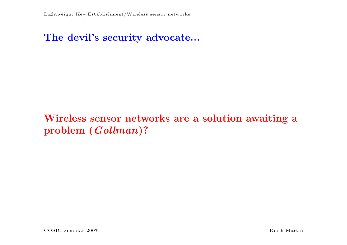#### The devil's security advocate...

# Wireless sensor networks are a solution awaiting a problem (Gollman)?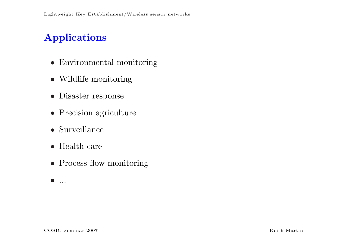# Applications

- Environmental monitoring
- Wildlife monitoring
- Disaster response
- Precision agriculture
- Surveillance
- Health care
- Process flow monitoring
- $\bullet$  ...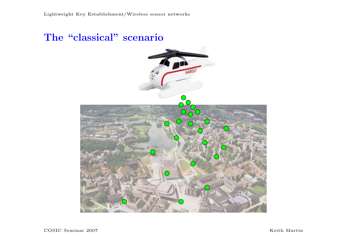### The "classical" scenario

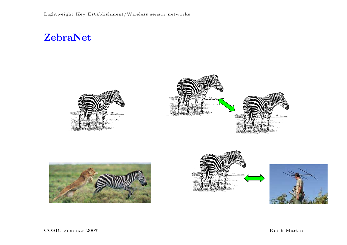### ZebraNet









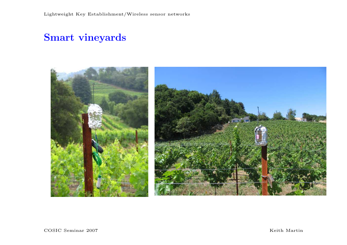## Smart vineyards

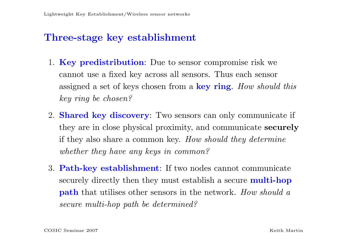### Three-stage key establishment

- 1. **Key predistribution**: Due to sensor compromise risk we cannot use a fixed key across all sensors. Thus each sensor assigned a set of keys chosen from a key ring. How should this key ring be chosen?
- 2. Shared key discovery: Two sensors can only communicate if they are in close physical proximity, and communicate securely if they also share a common key. How should they determine whether they have any keys in common?
- 3. Path-key establishment: If two nodes cannot communicate securely directly then they must establish a secure **multi-hop path** that utilises other sensors in the network. How should a secure multi-hop path be determined?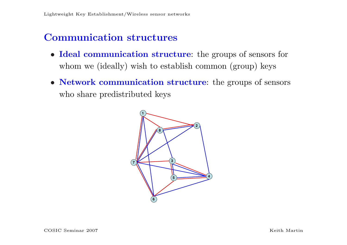### Communication structures

- Ideal communication structure: the groups of sensors for whom we (ideally) wish to establish common (group) keys
- Network communication structure: the groups of sensors who share predistributed keys

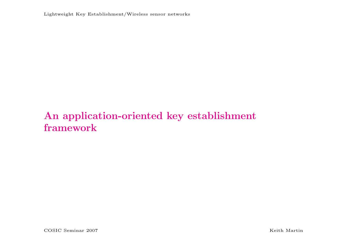Lightweight Key Establishment/Wireless sensor networks

# An application-oriented key establishment framework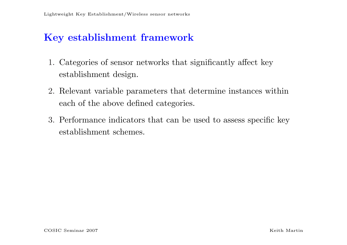### Key establishment framework

- 1. Categories of sensor networks that significantly affect key establishment design.
- 2. Relevant variable parameters that determine instances within each of the above defined categories.
- 3. Performance indicators that can be used to assess specific key establishment schemes.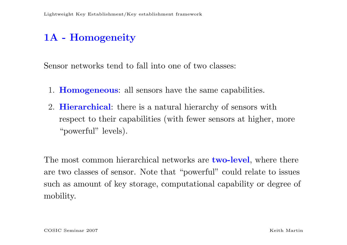# 1A - Homogeneity

Sensor networks tend to fall into one of two classes:

- 1. Homogeneous: all sensors have the same capabilities.
- 2. **Hierarchical**: there is a natural hierarchy of sensors with respect to their capabilities (with fewer sensors at higher, more "powerful" levels).

The most common hierarchical networks are **two-level**, where there are two classes of sensor. Note that "powerful" could relate to issues such as amount of key storage, computational capability or degree of mobility.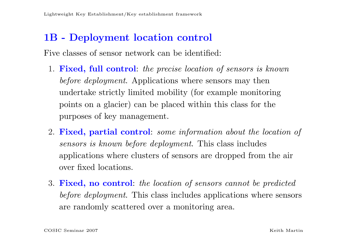#### 1B - Deployment location control

Five classes of sensor network can be identified:

- 1. Fixed, full control: the precise location of sensors is known before deployment. Applications where sensors may then undertake strictly limited mobility (for example monitoring points on a glacier) can be placed within this class for the purposes of key management.
- 2. Fixed, partial control: some information about the location of sensors is known before deployment. This class includes applications where clusters of sensors are dropped from the air over fixed locations.
- 3. Fixed, no control: the location of sensors cannot be predicted before deployment. This class includes applications where sensors are randomly scattered over a monitoring area.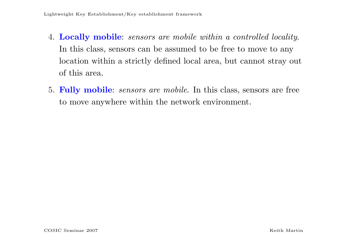- 4. Locally mobile: sensors are mobile within a controlled locality. In this class, sensors can be assumed to be free to move to any location within a strictly defined local area, but cannot stray out of this area.
- 5. Fully mobile: sensors are mobile. In this class, sensors are free to move anywhere within the network environment.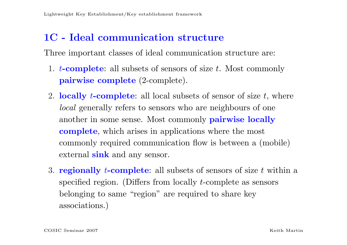#### 1C - Ideal communication structure

Three important classes of ideal communication structure are:

- 1. *t*-complete: all subsets of sensors of size *t*. Most commonly pairwise complete (2-complete).
- 2. locally *t*-complete: all local subsets of sensor of size  $t$ , where local generally refers to sensors who are neighbours of one another in some sense. Most commonly **pairwise locally** complete, which arises in applications where the most commonly required communication flow is between a (mobile) external sink and any sensor.
- 3. **regionally** *t***-complete**: all subsets of sensors of size t within a specified region. (Differs from locally t-complete as sensors belonging to same "region" are required to share key associations.)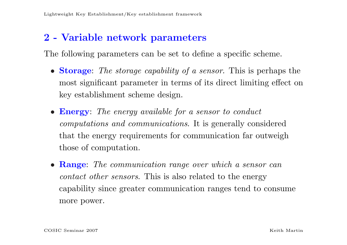### 2 - Variable network parameters

The following parameters can be set to define a specific scheme.

- Storage: The storage capability of a sensor. This is perhaps the most significant parameter in terms of its direct limiting effect on key establishment scheme design.
- **Energy:** The energy available for a sensor to conduct computations and communications. It is generally considered that the energy requirements for communication far outweigh those of computation.
- Range: The communication range over which a sensor can contact other sensors. This is also related to the energy capability since greater communication ranges tend to consume more power.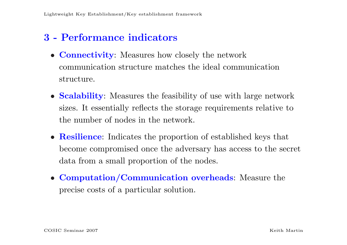### 3 - Performance indicators

- **Connectivity:** Measures how closely the network communication structure matches the ideal communication structure.
- **Scalability:** Measures the feasibility of use with large network sizes. It essentially reflects the storage requirements relative to the number of nodes in the network.
- **Resilience:** Indicates the proportion of established keys that become compromised once the adversary has access to the secret data from a small proportion of the nodes.
- Computation/Communication overheads: Measure the precise costs of a particular solution.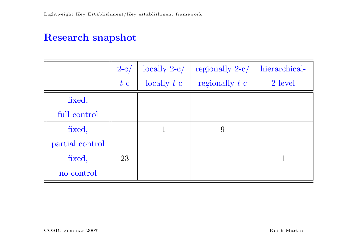### Research snapshot

|                 | $2-c/$ | $locally 2-c/$ | regionally $2-c/$ | hierarchical- |
|-----------------|--------|----------------|-------------------|---------------|
|                 | $t-c$  | locally $t-c$  | regionally $t$ -c | 2-level       |
| fixed,          |        |                |                   |               |
| full control    |        |                |                   |               |
| fixed,          |        |                | 9                 |               |
| partial control |        |                |                   |               |
| fixed,          | 23     |                |                   |               |
| no control      |        |                |                   |               |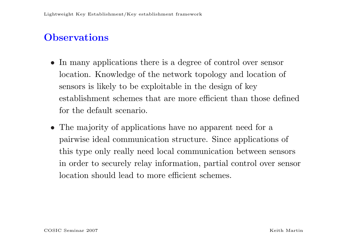### **Observations**

- In many applications there is a degree of control over sensor location. Knowledge of the network topology and location of sensors is likely to be exploitable in the design of key establishment schemes that are more efficient than those defined for the default scenario.
- The majority of applications have no apparent need for a pairwise ideal communication structure. Since applications of this type only really need local communication between sensors in order to securely relay information, partial control over sensor location should lead to more efficient schemes.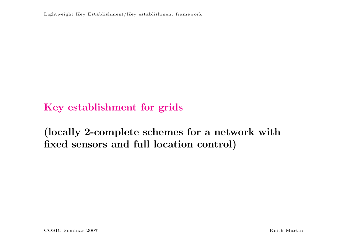Lightweight Key Establishment/Key establishment framework

### Key establishment for grids

## (locally 2-complete schemes for a network with fixed sensors and full location control)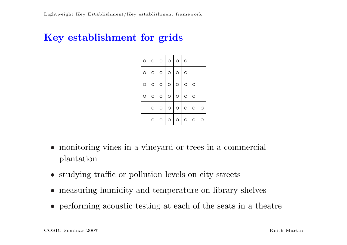### Key establishment for grids

| $\circ$ | $\circ$ | $\circ$   $\circ$   $\circ$             | $\circ$  |         |   |
|---------|---------|-----------------------------------------|----------|---------|---|
| $\circ$ | $\circ$ | $\circ$   $\circ$   $\circ$             | $\Omega$ |         |   |
| $\circ$ |         | $\circ$ $\circ$ $\circ$ $\circ$ $\circ$ |          | O       |   |
| $\circ$ | $\circ$ | $\circ$ $\circ$ $\circ$ $\circ$         |          | $\circ$ |   |
|         | $\circ$ | $\circ$ $\circ$ $\circ$ $\circ$         |          | $\circ$ | O |
|         | $\circ$ | $\circ$ $\circ$ $\circ$ $\circ$         |          | $\circ$ | O |

- monitoring vines in a vineyard or trees in a commercial plantation
- studying traffic or pollution levels on city streets
- measuring humidity and temperature on library shelves
- performing acoustic testing at each of the seats in a theatre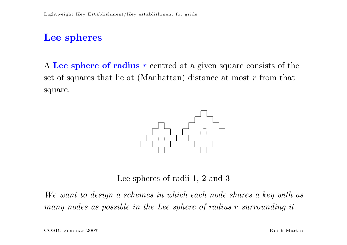#### Lee spheres

A Lee sphere of radius r centred at a given square consists of the set of squares that lie at (Manhattan) distance at most  $r$  from that square.



Lee spheres of radii 1, 2 and 3

We want to design a schemes in which each node shares a key with as many nodes as possible in the Lee sphere of radius r surrounding it.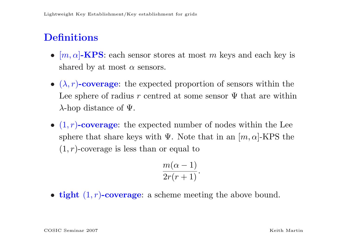# **Definitions**

- $[m, \alpha]$ -KPS: each sensor stores at most m keys and each key is shared by at most  $\alpha$  sensors.
- $(\lambda, r)$ -coverage: the expected proportion of sensors within the Lee sphere of radius r centred at some sensor  $\Psi$  that are within  $\lambda$ -hop distance of  $\Psi$ .
- $(1, r)$ -coverage: the expected number of nodes within the Lee sphere that share keys with  $\Psi$ . Note that in an  $[m, \alpha]$ -KPS the  $(1, r)$ -coverage is less than or equal to

$$
\frac{m(\alpha-1)}{2r(r+1)}.
$$

• tight  $(1, r)$ -coverage: a scheme meeting the above bound.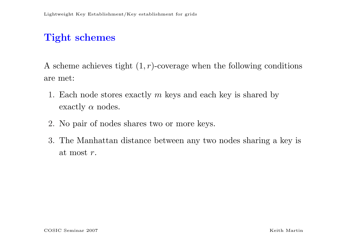# Tight schemes

A scheme achieves tight  $(1, r)$ -coverage when the following conditions are met:

- 1. Each node stores exactly  $m$  keys and each key is shared by exactly  $\alpha$  nodes.
- 2. No pair of nodes shares two or more keys.
- 3. The Manhattan distance between any two nodes sharing a key is at most r.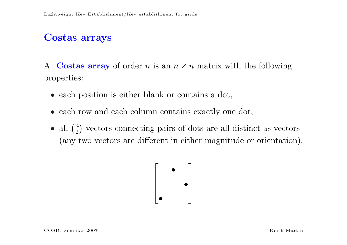### Costas arrays

A Costas array of order n is an  $n \times n$  matrix with the following properties:

- each position is either blank or contains a dot,
- each row and each column contains exactly one dot,
- $\bullet$  all  $($  $\overline{n}$ 2 ¢ vectors connecting pairs of dots are all distinct as vectors (any two vectors are different in either magnitude or orientation).

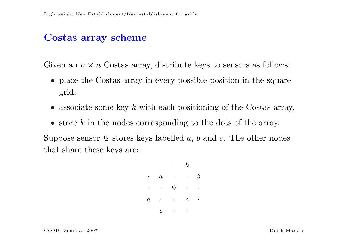#### Costas array scheme

Given an  $n \times n$  Costas array, distribute keys to sensors as follows:

- place the Costas array in every possible position in the square grid,
- associate some key  $k$  with each positioning of the Costas array,
- store  $k$  in the nodes corresponding to the dots of the array.

Suppose sensor  $\Psi$  stores keys labelled a, b and c. The other nodes that share these keys are:

$$
\begin{array}{ccccc}\cdot & \cdot & \cdot & b \\
\cdot & a & \cdot & \cdot & b \\
\cdot & \cdot & \Psi & \cdot & \cdot \\
a & \cdot & \cdot & c & \cdot \\
c & \cdot & \cdot & \cdot\n\end{array}
$$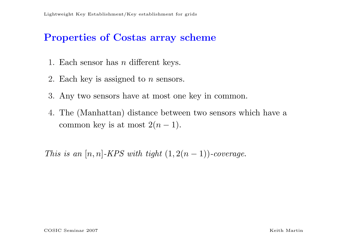### Properties of Costas array scheme

- 1. Each sensor has n different keys.
- 2. Each key is assigned to  $n$  sensors.
- 3. Any two sensors have at most one key in common.
- 4. The (Manhattan) distance between two sensors which have a common key is at most  $2(n-1)$ .

This is an  $[n, n]$ -KPS with tight  $(1, 2(n - 1))$ -coverage.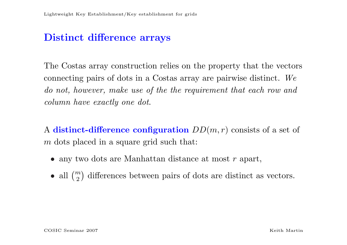#### Distinct difference arrays

The Costas array construction relies on the property that the vectors connecting pairs of dots in a Costas array are pairwise distinct. We do not, however, make use of the the requirement that each row and column have exactly one dot.

A distinct-difference configuration  $DD(m, r)$  consists of a set of m dots placed in a square grid such that:

- any two dots are Manhattan distance at most r apart,
- $\bullet$  all  $($  $\overline{m}$ 2 ¢ differences between pairs of dots are distinct as vectors.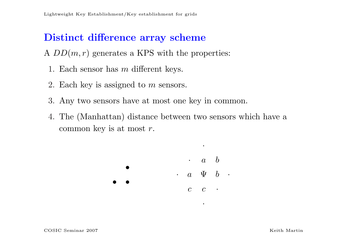### Distinct difference array scheme

A  $DD(m, r)$  generates a KPS with the properties:

- 1. Each sensor has m different keys.
- 2. Each key is assigned to m sensors.
- 3. Any two sensors have at most one key in common.
- 4. The (Manhattan) distance between two sensors which have a common key is at most  $r$ .



·

·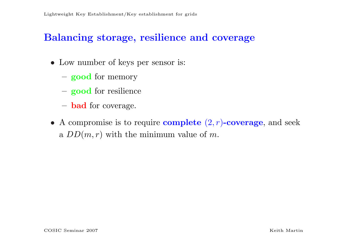#### Balancing storage, resilience and coverage

- Low number of keys per sensor is:
	- good for memory
	- good for resilience
	- bad for coverage.
- A compromise is to require **complete**  $(2, r)$ -coverage, and seek a  $DD(m,r)$  with the minimum value of m.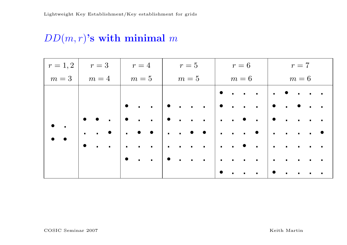## $DD(m,r)$ 's with minimal m

|           |                              | $r=1,2$   $r=3$   $r=4$   $r=5$ |                             | $\begin{array}{cc} \mid & r = 6 \end{array}$   | $r = 7$                                                                           |  |  |  |
|-----------|------------------------------|---------------------------------|-----------------------------|------------------------------------------------|-----------------------------------------------------------------------------------|--|--|--|
|           |                              |                                 |                             | $m=3$   $m=4$   $m=5$   $m=5$   $m=6$   $m=6$  |                                                                                   |  |  |  |
|           |                              |                                 |                             |                                                | $   \bullet  \cdot  \cdot  \cdot     \cdot  \bullet  \cdot  \cdot  \cdot $        |  |  |  |
|           |                              | $\bullet$                       |                             |                                                |                                                                                   |  |  |  |
|           |                              |                                 |                             |                                                | .                                                                                 |  |  |  |
|           |                              |                                 |                             |                                                |                                                                                   |  |  |  |
| $\bullet$ | $\sim$ 100 $\sim$ 100 $\sim$ | $\blacksquare$                  |                             | .     <b>.</b> .   .                           | $\mathcal{L}(\mathbf{r})$ , and $\mathcal{L}(\mathbf{r})$ , and                   |  |  |  |
|           |                              | $\bullet$                       | $\cdots$ $\bullet$ $\cdots$ | $\left  \cdot \cdot \cdot \cdot \cdot \right $ | $\mathcal{L}(\mathbf{r})$ , and $\mathcal{L}(\mathbf{r})$ , and<br>$\blacksquare$ |  |  |  |
|           |                              |                                 |                             |                                                |                                                                                   |  |  |  |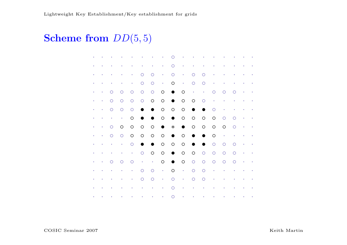# **Scheme from**  $DD(5,5)$

| ۰         |           |           | $\bullet$ | $\bullet$  |            | $\bullet$   | $\bullet$       | Ω          | $\bullet$  | $\bullet$  | $\bullet$       |            | $\bullet$ | $\bullet$ | $\bullet$ | $\hat{\textbf{e}}$ |
|-----------|-----------|-----------|-----------|------------|------------|-------------|-----------------|------------|------------|------------|-----------------|------------|-----------|-----------|-----------|--------------------|
|           | ۰         |           |           | $\bullet$  |            | $\bullet$   | $\bullet$       | $\bigcirc$ | $\bullet$  | $\bullet$  | $\bullet$       | $\bullet$  |           |           | $\bullet$ |                    |
| ö         | ò         | ö         | $\bullet$ | $\bullet$  | O          | $\bigcirc$  | $\bullet$       | $\circ$    | $\bullet$  | $\circ$    | $\circ$         | $\bullet$  | ٠         | ۰         | $\bullet$ | $\bullet$          |
| ۰         | ٠         | $\bullet$ | $\bullet$ | $\bullet$  | $\circ$    | $\circ$     | $\sim 10^{-11}$ | $\bigcirc$ | $\bullet$  | $\circ$    | $\bigcirc$      | $\bullet$  | $\bullet$ | $\bullet$ | $\bullet$ | $\bullet$          |
| $\bullet$ | $\bullet$ | $\circ$   | $\circ$   | $\circ$    | $\bigcirc$ | $\bigcirc$  | $\bigcirc$      | $\bullet$  | O          | $\sim$     | $\sim$ 10 $\pm$ | $\circ$    | $\circ$   | $\circ$   | $\bullet$ | $\bullet$          |
| ۰         | ۰         | $\circ$   | $\circ$   | $\bigcirc$ | $\bigcirc$ | $\circ$     | $\bigcirc$      | $\bullet$  | $\circ$    | $\circ$    | $\circ$         | $\bullet$  |           | ö         | $\bullet$ |                    |
| ò         | ۰         | $\circ$   | $\circ$   | $\bigcirc$ | $\bullet$  | $\bullet$   | $\bigcirc$      | $\bigcirc$ | $\bigcirc$ | $\bullet$  | $\bullet$       | O          | $\bullet$ | ó         | $\bullet$ | $\bullet$          |
| ۰         | ٠         | $\bullet$ | $\bullet$ | $\bigcirc$ | $\bullet$  | $\bullet$   | $\bigcirc$      | $\bullet$  | $\bigcirc$ | $\circ$    | $\bigcirc$      | $\bigcirc$ | $\circ$   | $\circ$   | $\sim$    | $\bullet$          |
| ۰         | $\bullet$ | $\circ$   | $\circ$   | $\bigcirc$ | $\bigcirc$ | $\circ$     | $\bullet$       | $\ast$     | $\bullet$  | $\bigcirc$ | $\bigcirc$      | $\bigcirc$ | $\circ$   | $\circ$   | $\bullet$ | $\bullet$          |
| ۰         | ۰         | $\circ$   | $\circ$   | $\bigcirc$ | $\bigcirc$ | $\circ$     | $\bigcirc$      | $\bullet$  | $\circ$    | $\bullet$  | $\bullet$       | $\circ$    | $\bullet$ |           |           |                    |
| ۰         | ò         | $\bullet$ | $\bullet$ | $\bigcirc$ | $\bullet$  | $\bullet$   | $\bigcirc$      | $\bigcirc$ | $\circ$    | $\bullet$  | $\bullet$       | $\circ$    | $\circ$   | $\circ$   | $\bullet$ | $\bullet$          |
| ۰         | $\bullet$ | $\bullet$ | $\bullet$ | $\bullet$  | $\bigcirc$ | $\circ$     | $\bigcirc$      | $\bullet$  | $\bigcirc$ | $\bigcirc$ | $\bigcirc$      | $\bigcirc$ | $\circ$   | $\circ$   | $\sim$    | $\bullet$          |
| ۰         | $\bullet$ | $\circ$   | $\circ$   | $\circ$    | $\sim$     | $\bullet$   | $\bigcirc$      | $\bullet$  | $\bigcirc$ | $\bigcirc$ | $\bigcirc$      | $\bigcirc$ | $\circ$   | $\circ$   | $\bullet$ | $\bullet$          |
|           |           |           |           | $\bullet$  | $\circ$    | $\circ$     | $\bullet$ .     | $\circ$    | $\bullet$  | $\circ$    | $\circ$         | ۰          |           |           |           |                    |
| ۰         | $\bullet$ | $\bullet$ | $\bullet$ | $\bullet$  | $\circ$    | $\circ$     | $\bullet$       | $\circ$    | $\bullet$  | $\circ$    | $\circ$         | $\bullet$  | $\bullet$ | $\bullet$ | $\bullet$ | $\bullet$          |
|           | ö         |           |           | ö          | $\bullet$  | $\bullet$   | $\bullet$       | $\circ$    | $\bullet$  | $\bullet$  | $\bullet$       |            |           |           | $\bullet$ |                    |
| $\bullet$ | $\bullet$ |           | ò.        | ò.         | $\bullet$  | $\bullet$ . | $\bullet$ .     | $\circ$    | $\bullet$  | $\bullet$  | $\bullet$       | ò.         | $\bullet$ | $\bullet$ | $\bullet$ |                    |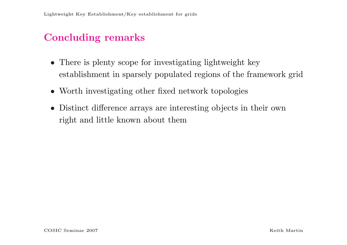## Concluding remarks

- There is plenty scope for investigating lightweight key establishment in sparsely populated regions of the framework grid
- Worth investigating other fixed network topologies
- Distinct difference arrays are interesting objects in their own right and little known about them